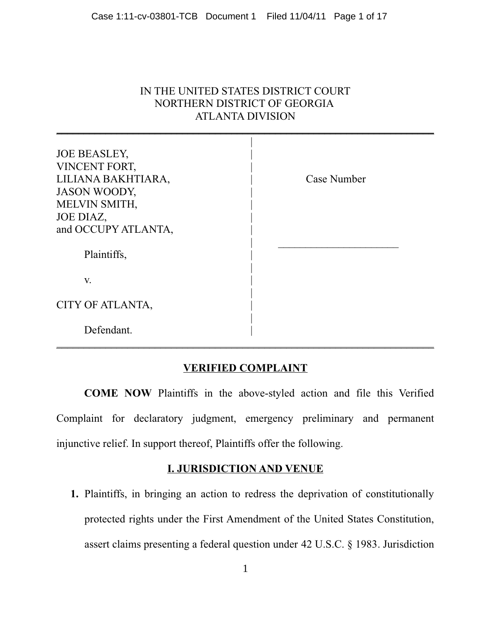## IN THE UNITED STATES DISTRICT COURT NORTHERN DISTRICT OF GEORGIA **ATLANTA DIVISION**

| <b>JOE BEASLEY,</b> |             |
|---------------------|-------------|
| VINCENT FORT,       |             |
| LILIANA BAKHTIARA,  | Case Number |
| <b>JASON WOODY,</b> |             |
| MELVIN SMITH,       |             |
| JOE DIAZ,           |             |
| and OCCUPY ATLANTA, |             |
|                     |             |
| Plaintiffs,         |             |
|                     |             |
| V.                  |             |
|                     |             |
| CITY OF ATLANTA,    |             |
|                     |             |
| Defendant.          |             |
|                     |             |

## **VERIFIED COMPLAINT**

COME NOW Plaintiffs in the above-styled action and file this Verified Complaint for declaratory judgment, emergency preliminary and permanent injunctive relief. In support thereof, Plaintiffs offer the following.

## **I. JURISDICTION AND VENUE**

1. Plaintiffs, in bringing an action to redress the deprivation of constitutionally protected rights under the First Amendment of the United States Constitution, assert claims presenting a federal question under 42 U.S.C. § 1983. Jurisdiction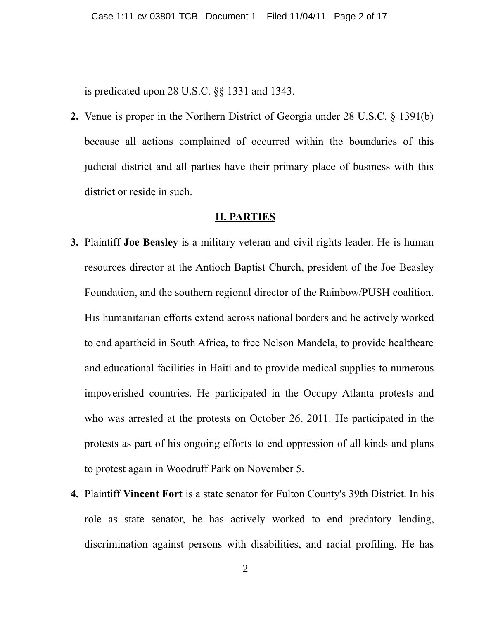is predicated upon  $28$  U.S.C.  $\S$  $\S$  1331 and 1343.

2. Venue is proper in the Northern District of Georgia under 28 U.S.C. § 1391(b) because all actions complained of occurred within the boundaries of this judicial district and all parties have their primary place of business with this district or reside in such.

### **II. PARTIES**

- 3. Plaintiff Joe Beasley is a military veteran and civil rights leader. He is human resources director at the Antioch Baptist Church, president of the Joe Beasley Foundation, and the southern regional director of the Rainbow/PUSH coalition. His humanitarian efforts extend across national borders and he actively worked to end apartheid in South Africa, to free Nelson Mandela, to provide healthcare and educational facilities in Haiti and to provide medical supplies to numerous impoverished countries. He participated in the Occupy Atlanta protests and who was arrested at the protests on October 26, 2011. He participated in the protests as part of his ongoing efforts to end oppression of all kinds and plans to protest again in Woodruff Park on November 5.
- 4. Plaintiff Vincent Fort is a state senator for Fulton County's 39th District. In his role as state senator, he has actively worked to end predatory lending, discrimination against persons with disabilities, and racial profiling. He has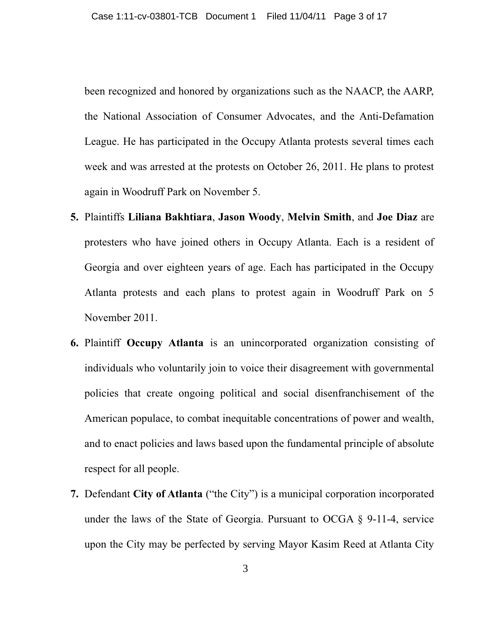been recognized and honored by organizations such as the NAACP, the AARP. the National Association of Consumer Advocates, and the Anti-Defamation League. He has participated in the Occupy Atlanta protests several times each week and was arrested at the protests on October 26, 2011. He plans to protest again in Woodruff Park on November 5.

- 5. Plaintiffs Liliana Bakhtiara, Jason Woody, Melvin Smith, and Joe Diaz are protesters who have joined others in Occupy Atlanta. Each is a resident of Georgia and over eighteen years of age. Each has participated in the Occupy Atlanta protests and each plans to protest again in Woodruff Park on 5 November 2011.
- 6. Plaintiff Occupy Atlanta is an unincorporated organization consisting of individuals who voluntarily join to voice their disagreement with governmental policies that create ongoing political and social disenfranchisement of the American populace, to combat inequitable concentrations of power and wealth, and to enact policies and laws based upon the fundamental principle of absolute respect for all people.
- 7. Defendant City of Atlanta ("the City") is a municipal corporation incorporated under the laws of the State of Georgia. Pursuant to OCGA § 9-11-4, service upon the City may be perfected by serving Mayor Kasim Reed at Atlanta City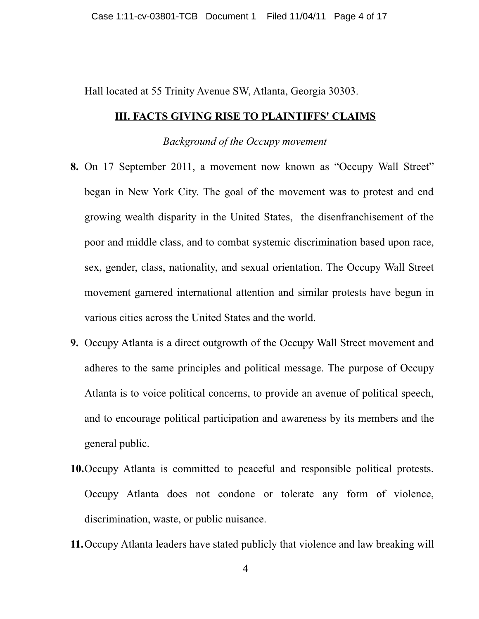Hall located at 55 Trinity Avenue SW, Atlanta, Georgia 30303.

#### **III. FACTS GIVING RISE TO PLAINTIFFS' CLAIMS**

**Background of the Occupy movement** 

- 8. On 17 September 2011, a movement now known as "Occupy Wall Street" began in New York City. The goal of the movement was to protest and end growing wealth disparity in the United States, the disenfranchisement of the poor and middle class, and to combat systemic discrimination based upon race, sex, gender, class, nationality, and sexual orientation. The Occupy Wall Street movement garnered international attention and similar protests have begun in various cities across the United States and the world.
- 9. Occupy Atlanta is a direct outgrowth of the Occupy Wall Street movement and adheres to the same principles and political message. The purpose of Occupy Atlanta is to voice political concerns, to provide an avenue of political speech, and to encourage political participation and awareness by its members and the general public.
- 10. Occupy Atlanta is committed to peaceful and responsible political protests. Occupy Atlanta does not condone or tolerate any form of violence, discrimination, waste, or public nuisance.
- 11. Occupy Atlanta leaders have stated publicly that violence and law breaking will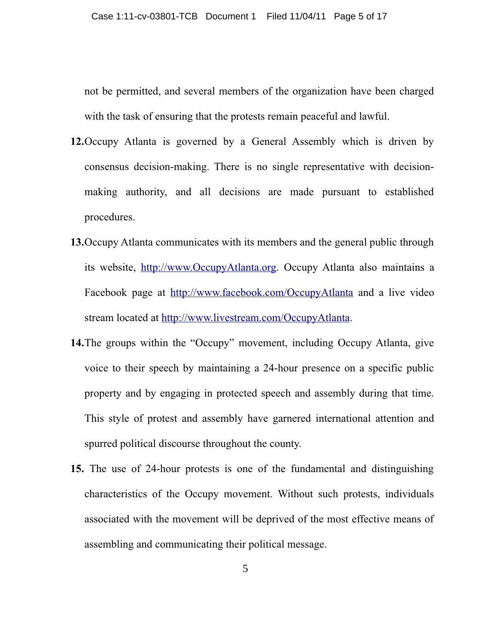not be permitted, and several members of the organization have been charged with the task of ensuring that the protests remain peaceful and lawful.

- 12. Occupy Atlanta is governed by a General Assembly which is driven by consensus decision-making. There is no single representative with decisionmaking authority, and all decisions are made pursuant to established procedures.
- 13. Occupy Atlanta communicates with its members and the general public through its website, http://www.OccupyAtlanta.org. Occupy Atlanta also maintains a Facebook page at http://www.facebook.com/OccupyAtlanta and a live video stream located at http://www.livestream.com/OccupyAtlanta.
- 14. The groups within the "Occupy" movement, including Occupy Atlanta, give voice to their speech by maintaining a 24-hour presence on a specific public property and by engaging in protected speech and assembly during that time. This style of protest and assembly have garnered international attention and spurred political discourse throughout the county.
- 15. The use of 24-hour protests is one of the fundamental and distinguishing characteristics of the Occupy movement. Without such protests, individuals associated with the movement will be deprived of the most effective means of assembling and communicating their political message.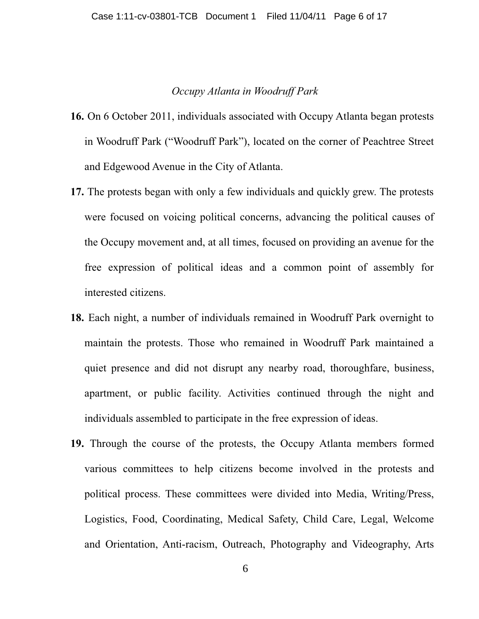### Occupy Atlanta in Woodruff Park

- 16. On 6 October 2011, individuals associated with Occupy Atlanta began protests in Woodruff Park ("Woodruff Park"), located on the corner of Peachtree Street and Edgewood Avenue in the City of Atlanta.
- 17. The protests began with only a few individuals and quickly grew. The protests were focused on voicing political concerns, advancing the political causes of the Occupy movement and, at all times, focused on providing an avenue for the free expression of political ideas and a common point of assembly for interested citizens.
- 18. Each night, a number of individuals remained in Woodruff Park overnight to maintain the protests. Those who remained in Woodruff Park maintained a quiet presence and did not disrupt any nearby road, thoroughfare, business, apartment, or public facility. Activities continued through the night and individuals assembled to participate in the free expression of ideas.
- 19. Through the course of the protests, the Occupy Atlanta members formed various committees to help citizens become involved in the protests and political process. These committees were divided into Media, Writing/Press, Logistics, Food, Coordinating, Medical Safety, Child Care, Legal, Welcome and Orientation, Anti-racism, Outreach, Photography and Videography, Arts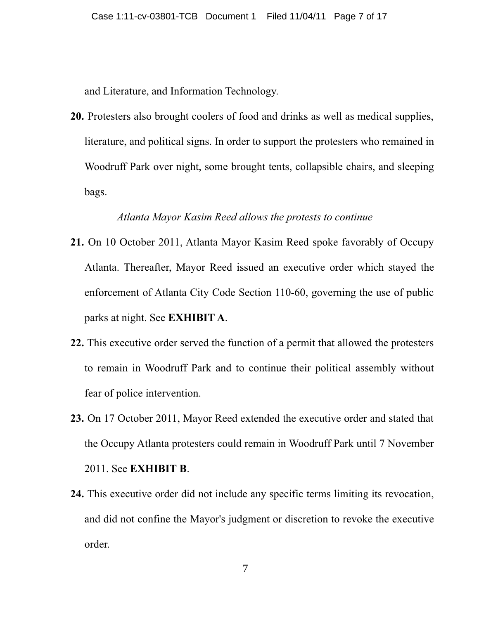and Literature, and Information Technology.

20. Protesters also brought coolers of food and drinks as well as medical supplies, literature, and political signs. In order to support the protesters who remained in Woodruff Park over night, some brought tents, collapsible chairs, and sleeping bags.

## Atlanta Mayor Kasim Reed allows the protests to continue

- 21. On 10 October 2011, Atlanta Mayor Kasim Reed spoke favorably of Occupy Atlanta. Thereafter, Mayor Reed issued an executive order which stayed the enforcement of Atlanta City Code Section 110-60, governing the use of public parks at night. See **EXHIBIT A.**
- 22. This executive order served the function of a permit that allowed the protesters to remain in Woodruff Park and to continue their political assembly without fear of police intervention.
- 23. On 17 October 2011, Mayor Reed extended the executive order and stated that the Occupy Atlanta protesters could remain in Woodruff Park until 7 November 2011. See EXHIBIT B.
- 24. This executive order did not include any specific terms limiting its revocation, and did not confine the Mayor's judgment or discretion to revoke the executive order.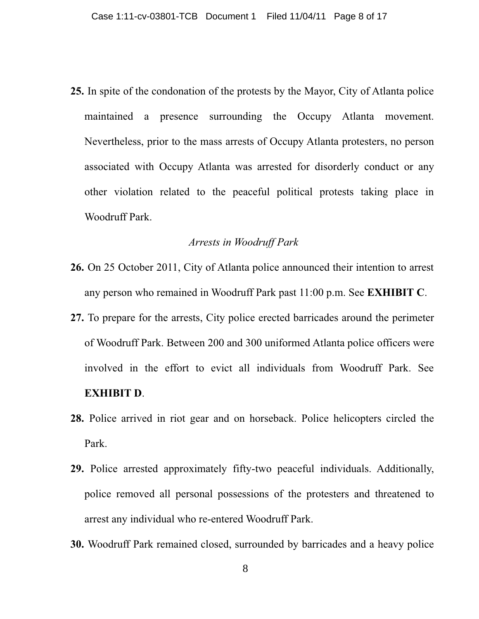25. In spite of the condonation of the protests by the Mayor, City of Atlanta police maintained a presence surrounding the Occupy Atlanta movement. Nevertheless, prior to the mass arrests of Occupy Atlanta protesters, no person associated with Occupy Atlanta was arrested for disorderly conduct or any other violation related to the peaceful political protests taking place in Woodruff Park.

### Arrests in Woodruff Park

- 26. On 25 October 2011, City of Atlanta police announced their intention to arrest any person who remained in Woodruff Park past 11:00 p.m. See **EXHIBIT C**.
- 27. To prepare for the arrests, City police erected barricades around the perimeter of Woodruff Park. Between 200 and 300 uniformed Atlanta police officers were involved in the effort to evict all individuals from Woodruff Park. See **EXHIBIT D.**
- 28. Police arrived in riot gear and on horseback. Police helicopters circled the Park.
- 29. Police arrested approximately fifty-two peaceful individuals. Additionally, police removed all personal possessions of the protesters and threatened to arrest any individual who re-entered Woodruff Park.
- 30. Woodruff Park remained closed, surrounded by barricades and a heavy police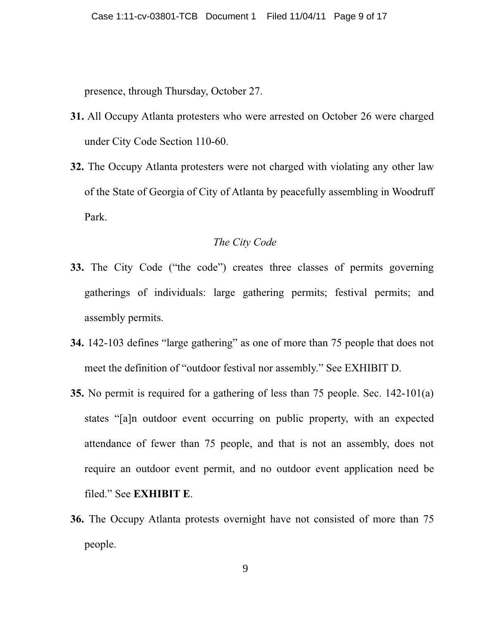presence, through Thursday, October 27.

- 31. All Occupy Atlanta protesters who were arrested on October 26 were charged under City Code Section 110-60.
- 32. The Occupy Atlanta protesters were not charged with violating any other law of the State of Georgia of City of Atlanta by peacefully assembling in Woodruff Park.

### The City Code

- 33. The City Code ("the code") creates three classes of permits governing gatherings of individuals: large gathering permits; festival permits; and assembly permits.
- 34. 142-103 defines "large gathering" as one of more than 75 people that does not meet the definition of "outdoor festival nor assembly." See EXHIBIT D.
- 35. No permit is required for a gathering of less than 75 people. Sec. 142-101(a) states "[a]n outdoor event occurring on public property, with an expected attendance of fewer than 75 people, and that is not an assembly, does not require an outdoor event permit, and no outdoor event application need be filed." See EXHIBIT E.
- 36. The Occupy Atlanta protests overnight have not consisted of more than 75 people.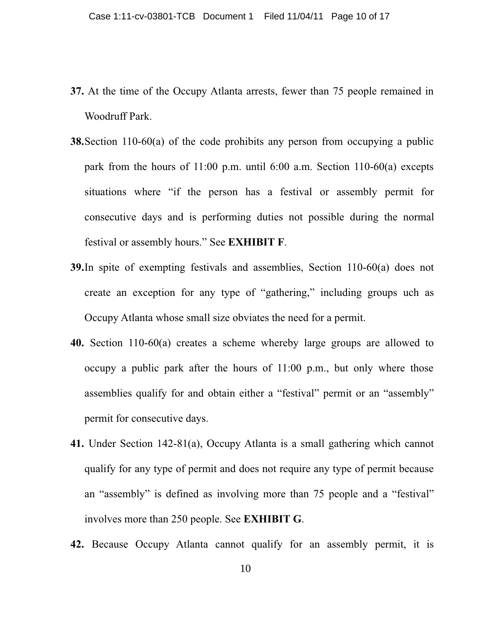- 37. At the time of the Occupy Atlanta arrests, fewer than 75 people remained in Woodruff Park.
- **38.** Section 110-60(a) of the code prohibits any person from occupying a public park from the hours of 11:00 p.m. until 6:00 a.m. Section 110-60(a) excepts situations where "if the person has a festival or assembly permit for consecutive days and is performing duties not possible during the normal festival or assembly hours." See **EXHIBIT F**.
- **39.** In spite of exempting festivals and assemblies, Section  $110-60$ (a) does not create an exception for any type of "gathering," including groups uch as Occupy Atlanta whose small size obviates the need for a permit.
- 40. Section 110-60(a) creates a scheme whereby large groups are allowed to occupy a public park after the hours of 11:00 p.m., but only where those assemblies qualify for and obtain either a "festival" permit or an "assembly" permit for consecutive days.
- 41. Under Section 142-81(a), Occupy Atlanta is a small gathering which cannot qualify for any type of permit and does not require any type of permit because an "assembly" is defined as involving more than 75 people and a "festival" involves more than 250 people. See **EXHIBIT G**.
- 42. Because Occupy Atlanta cannot qualify for an assembly permit, it is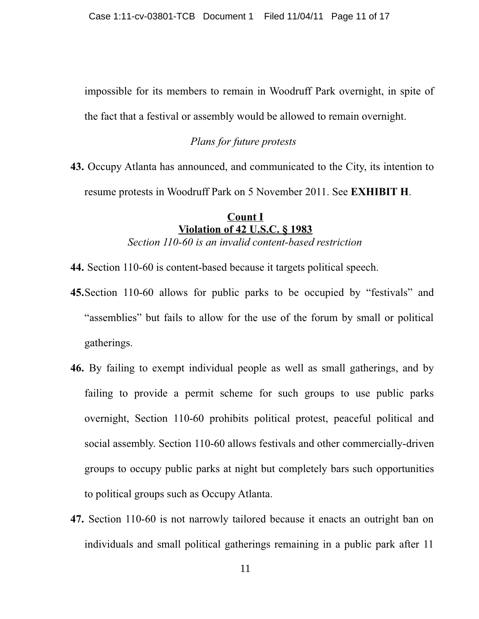impossible for its members to remain in Woodruff Park overnight, in spite of the fact that a festival or assembly would be allowed to remain overnight.

### Plans for future protests

43. Occupy Atlanta has announced, and communicated to the City, its intention to resume protests in Woodruff Park on 5 November 2011. See EXHIBIT H.

### **Count I Violation of 42 U.S.C. § 1983** Section 110-60 is an invalid content-based restriction

- 44. Section 110-60 is content-based because it targets political speech.
- 45. Section 110-60 allows for public parks to be occupied by "festivals" and "assemblies" but fails to allow for the use of the forum by small or political gatherings.
- 46. By failing to exempt individual people as well as small gatherings, and by failing to provide a permit scheme for such groups to use public parks overnight, Section 110-60 prohibits political protest, peaceful political and social assembly. Section 110-60 allows festivals and other commercially-driven groups to occupy public parks at night but completely bars such opportunities to political groups such as Occupy Atlanta.
- 47. Section 110-60 is not narrowly tailored because it enacts an outright ban on individuals and small political gatherings remaining in a public park after 11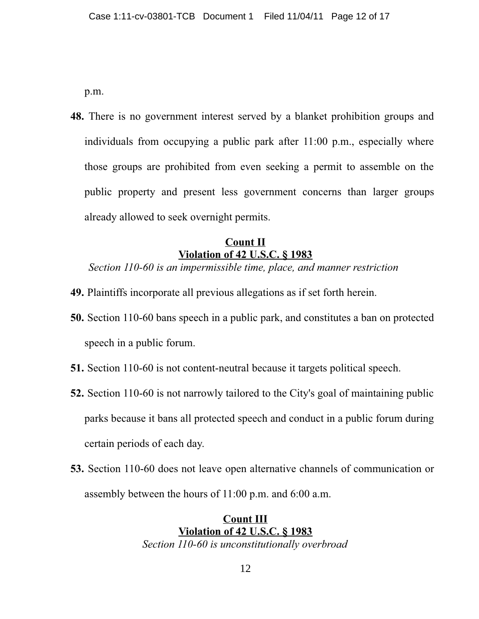p.m.

48. There is no government interest served by a blanket prohibition groups and individuals from occupying a public park after 11:00 p.m., especially where those groups are prohibited from even seeking a permit to assemble on the public property and present less government concerns than larger groups already allowed to seek overnight permits.

## **Count II Violation of 42 U.S.C. § 1983**

Section 110-60 is an impermissible time, place, and manner restriction

- 49. Plaintiffs incorporate all previous allegations as if set forth herein.
- **50.** Section 110-60 bans speech in a public park, and constitutes a ban on protected speech in a public forum.
- 51. Section 110-60 is not content-neutral because it targets political speech.
- 52. Section 110-60 is not narrowly tailored to the City's goal of maintaining public parks because it bans all protected speech and conduct in a public forum during certain periods of each day.
- 53. Section 110-60 does not leave open alternative channels of communication or assembly between the hours of 11:00 p.m. and 6:00 a.m.

**Count III Violation of 42 U.S.C. § 1983** Section 110-60 is unconstitutionally overbroad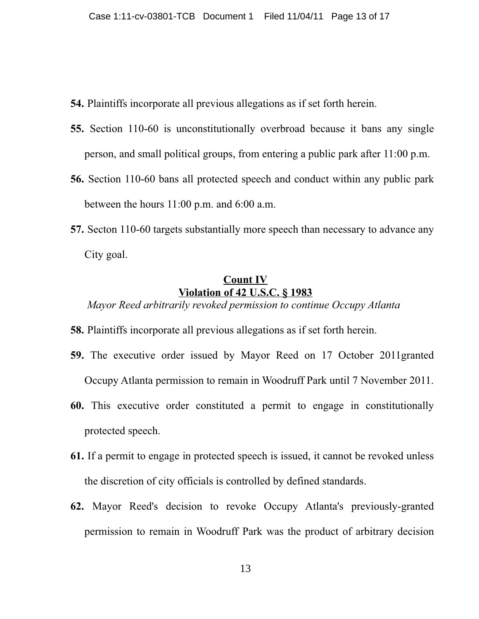- **54.** Plaintiffs incorporate all previous allegations as if set forth herein.
- 55. Section 110-60 is unconstitutionally overbroad because it bans any single person, and small political groups, from entering a public park after 11:00 p.m.
- 56. Section 110-60 bans all protected speech and conduct within any public park between the hours  $11:00$  p.m. and  $6:00$  a.m.
- 57. Secton 110-60 targets substantially more speech than necessary to advance any City goal.

## **Count IV Violation of 42 U.S.C. § 1983**

Mayor Reed arbitrarily revoked permission to continue Occupy Atlanta

- **58.** Plaintiffs incorporate all previous allegations as if set forth herein.
- 59. The executive order issued by Mayor Reed on 17 October 2011granted Occupy Atlanta permission to remain in Woodruff Park until 7 November 2011.
- 60. This executive order constituted a permit to engage in constitutionally protected speech.
- 61. If a permit to engage in protected speech is issued, it cannot be revoked unless the discretion of city officials is controlled by defined standards.
- 62. Mayor Reed's decision to revoke Occupy Atlanta's previously-granted permission to remain in Woodruff Park was the product of arbitrary decision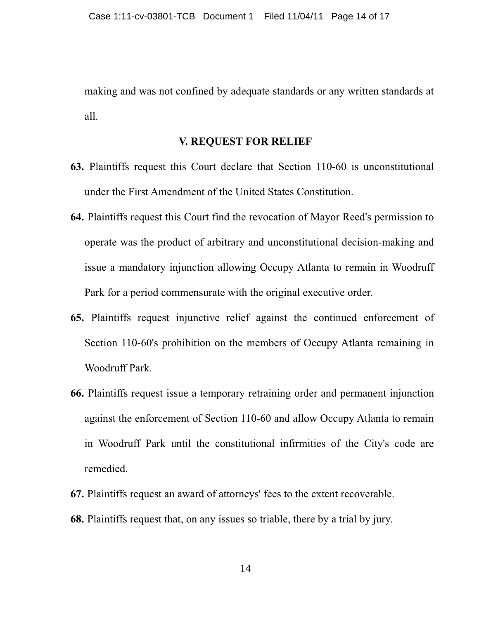making and was not confined by adequate standards or any written standards at all.

### **V. REQUEST FOR RELIEF**

- 63. Plaintiffs request this Court declare that Section 110-60 is unconstitutional under the First Amendment of the United States Constitution.
- 64. Plaintiffs request this Court find the revocation of Mayor Reed's permission to operate was the product of arbitrary and unconstitutional decision-making and issue a mandatory injunction allowing Occupy Atlanta to remain in Woodruff Park for a period commensurate with the original executive order.
- 65. Plaintiffs request injunctive relief against the continued enforcement of Section 110-60's prohibition on the members of Occupy Atlanta remaining in Woodruff Park.
- 66. Plaintiffs request issue a temporary retraining order and permanent injunction against the enforcement of Section 110-60 and allow Occupy Atlanta to remain in Woodruff Park until the constitutional infirmities of the City's code are remedied.
- 67. Plaintiffs request an award of attorneys' fees to the extent recoverable.
- 68. Plaintiffs request that, on any issues so triable, there by a trial by jury.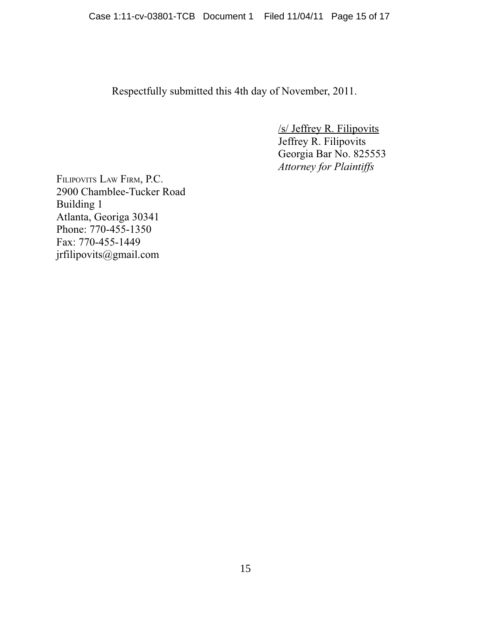Respectfully submitted this 4th day of November, 2011.

 $/s/$  Jeffrey R. Filipovits Jeffrey R. Filipovits Georgia Bar No. 825553 **Attorney for Plaintiffs** 

FILIPOVITS LAW FIRM, P.C. 2900 Chamblee-Tucker Road Building 1 Atlanta, Georiga 30341 Phone: 770-455-1350 Fax: 770-455-1449 jrfilipovits@gmail.com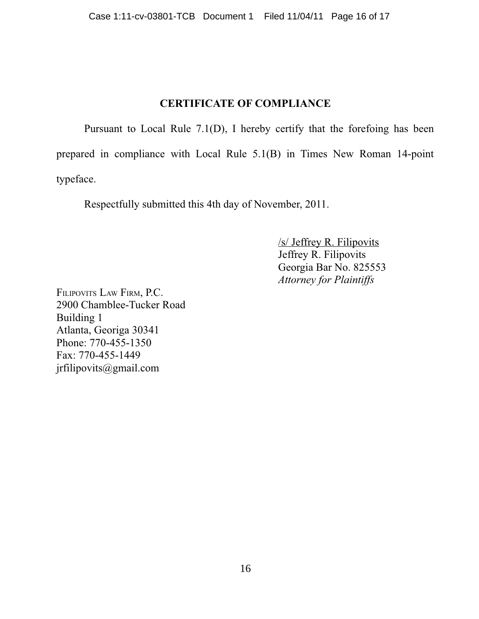## **CERTIFICATE OF COMPLIANCE**

Pursuant to Local Rule 7.1(D), I hereby certify that the foreform has been prepared in compliance with Local Rule 5.1(B) in Times New Roman 14-point typeface.

Respectfully submitted this 4th day of November, 2011.

 $/s/$  Jeffrey R. Filipovits Jeffrey R. Filipovits Georgia Bar No. 825553 **Attorney for Plaintiffs** 

FILIPOVITS LAW FIRM, P.C. 2900 Chamblee-Tucker Road Building 1 Atlanta, Georiga 30341 Phone: 770-455-1350 Fax: 770-455-1449 jrfilipovits@gmail.com